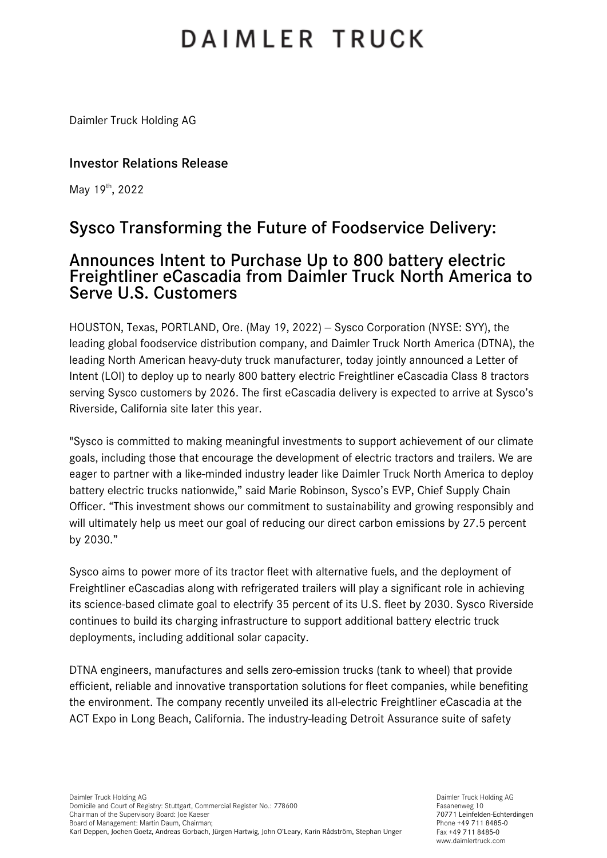# DAIMLER TRUCK

Daimler Truck Holding AG

#### Investor Relations Release

May 19th, 2022

## Sysco Transforming the Future of Foodservice Delivery:

### Announces Intent to Purchase Up to 800 battery electric Freightliner eCascadia from Daimler Truck North America to Serve U.S. Customers

HOUSTON, Texas, PORTLAND, Ore. (May 19, 2022) - Sysco Corporation (NYSE: SYY), the leading global foodservice distribution company, and Daimler Truck North America (DTNA), the leading North American heavy-duty truck manufacturer, today jointly announced a Letter of Intent (LOI) to deploy up to nearly 800 battery electric Freightliner eCascadia Class 8 tractors serving Sysco customers by 2026. The first eCascadia delivery is expected to arrive at Sysco's Riverside, California site later this year.

"Sysco is committed to making meaningful investments to support achievement of our climate goals, including those that encourage the development of electric tractors and trailers. We are eager to partner with a like-minded industry leader like Daimler Truck North America to deploy battery electric trucks nationwide," said Marie Robinson, Sysco's EVP, Chief Supply Chain Officer. "This investment shows our commitment to sustainability and growing responsibly and will ultimately help us meet our goal of reducing our direct carbon emissions by 27.5 percent by 2030."

Sysco aims to power more of its tractor fleet with alternative fuels, and the deployment of Freightliner eCascadias along with refrigerated trailers will play a significant role in achieving its science-based climate goal to electrify 35 percent of its U.S. fleet by 2030. Sysco Riverside continues to build its charging infrastructure to support additional battery electric truck deployments, including additional solar capacity.

DTNA engineers, manufactures and sells zero-emission trucks (tank to wheel) that provide efficient, reliable and innovative transportation solutions for fleet companies, while benefiting the environment. The company recently unveiled its all-electric Freightliner eCascadia at the ACT Expo in Long Beach, California. The industry-leading Detroit Assurance suite of safety

Daimler Truck Holding AG Fasanenweg 10 70771 Leinfelden-Echterdingen Phone +49 711 8485-0 Fax +49 711 8485-0 www.daimlertruck.com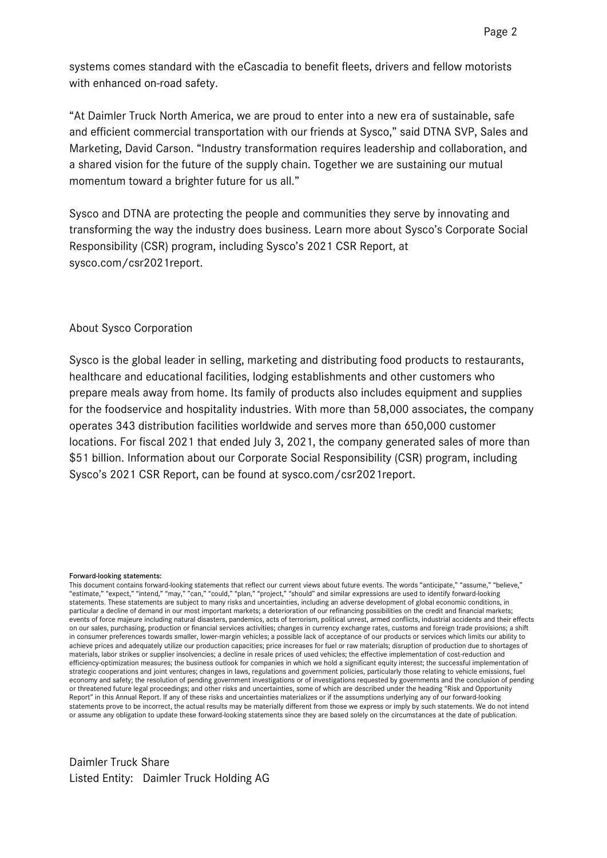"At Daimler Truck North America, we are proud to enter into a new era of sustainable, safe and efficient commercial transportation with our friends at Sysco," said DTNA SVP, Sales and Marketing, David Carson. "Industry transformation requires leadership and collaboration, and a shared vision for the future of the supply chain. Together we are sustaining our mutual momentum toward a brighter future for us all."

Sysco and DTNA are protecting the people and communities they serve by innovating and transforming the way the industry does business. Learn more about Sysco's Corporate Social Responsibility (CSR) program, including Sysco's 2021 CSR Report, at sysco.com/csr2021report.

#### About Sysco Corporation

Sysco is the global leader in selling, marketing and distributing food products to restaurants, healthcare and educational facilities, lodging establishments and other customers who prepare meals away from home. Its family of products also includes equipment and supplies for the foodservice and hospitality industries. With more than 58,000 associates, the company operates 343 distribution facilities worldwide and serves more than 650,000 customer locations. For fiscal 2021 that ended July 3, 2021, the company generated sales of more than \$51 billion. Information about our Corporate Social Responsibility (CSR) program, including Sysco's 2021 CSR Report, can be found at sysco.com/csr2021report.

#### Forward-looking statements:

Daimler Truck Share Listed Entity: Daimler Truck Holding AG

This document contains forward-looking statements that reflect our current views about future events. The words "anticipate," "assume," "believe," "estimate," "expect," "intend," "may," "can," "could," "plan," "project," "should" and similar expressions are used to identify forward-looking statements. These statements are subject to many risks and uncertainties, including an adverse development of global economic conditions, in particular a decline of demand in our most important markets; a deterioration of our refinancing possibilities on the credit and financial markets; events of force majeure including natural disasters, pandemics, acts of terrorism, political unrest, armed conflicts, industrial accidents and their effects on our sales, purchasing, production or financial services activities; changes in currency exchange rates, customs and foreign trade provisions; a shift in consumer preferences towards smaller, lower-margin vehicles; a possible lack of acceptance of our products or services which limits our ability to achieve prices and adequately utilize our production capacities; price increases for fuel or raw materials; disruption of production due to shortages of materials, labor strikes or supplier insolvencies; a decline in resale prices of used vehicles; the effective implementation of cost-reduction and efficiency-optimization measures; the business outlook for companies in which we hold a significant equity interest; the successful implementation of strategic cooperations and joint ventures; changes in laws, regulations and government policies, particularly those relating to vehicle emissions, fuel economy and safety; the resolution of pending government investigations or of investigations requested by governments and the conclusion of pending or threatened future legal proceedings; and other risks and uncertainties, some of which are described under the heading "Risk and Opportunity Report" in this Annual Report. If any of these risks and uncertainties materializes or if the assumptions underlying any of our forward-looking statements prove to be incorrect, the actual results may be materially different from those we express or imply by such statements. We do not intend or assume any obligation to update these forward-looking statements since they are based solely on the circumstances at the date of publication.